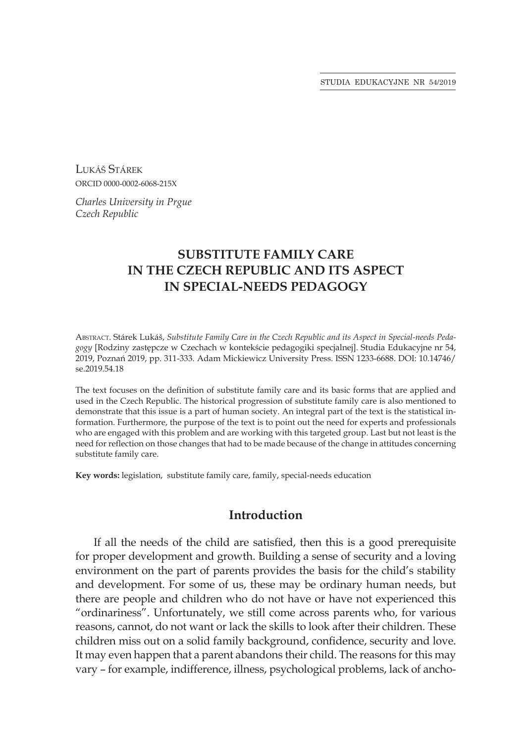STUDIA EDUKACYJNE NR 54/2019

Lukáš Stárek ORCID 0000-0002-6068-215X

*Charles University in Prgue Czech Republic*

# **SUBSTITUTE FAMILY CARE IN THE CZECH REPUBLIC AND ITS ASPECT IN SPECIAL-NEEDS PEDAGOGY**

Abstract. Stárek Lukáš, *Substitute Family Care in the Czech Republic and its Aspect in Special-needs Pedagogy* [Rodziny zastępcze w Czechach w kontekście pedagogiki specjalnej]. Studia Edukacyjne nr 54, 2019, Poznań 2019, pp. 311-333. Adam Mickiewicz University Press. ISSN 1233-6688. DOI: 10.14746/ se.2019.54.18

The text focuses on the definition of substitute family care and its basic forms that are applied and used in the Czech Republic. The historical progression of substitute family care is also mentioned to demonstrate that this issue is a part of human society. An integral part of the text is the statistical information. Furthermore, the purpose of the text is to point out the need for experts and professionals who are engaged with this problem and are working with this targeted group. Last but not least is the need for reflection on those changes that had to be made because of the change in attitudes concerning substitute family care.

**Key words:** legislation, substitute family care, family, special-needs education

## **Introduction**

If all the needs of the child are satisfied, then this is a good prerequisite for proper development and growth. Building a sense of security and a loving environment on the part of parents provides the basis for the child's stability and development. For some of us, these may be ordinary human needs, but there are people and children who do not have or have not experienced this "ordinariness". Unfortunately, we still come across parents who, for various reasons, cannot, do not want or lack the skills to look after their children. These children miss out on a solid family background, confidence, security and love. It may even happen that a parent abandons their child. The reasons for this may vary – for example, indifference, illness, psychological problems, lack of ancho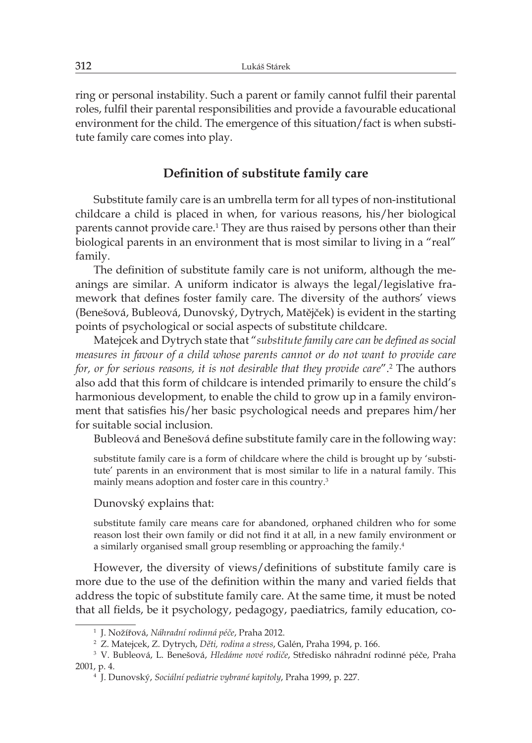ring or personal instability. Such a parent or family cannot fulfil their parental roles, fulfil their parental responsibilities and provide a favourable educational environment for the child. The emergence of this situation/fact is when substitute family care comes into play.

## **Definition of substitute family care**

Substitute family care is an umbrella term for all types of non-institutional childcare a child is placed in when, for various reasons, his/her biological parents cannot provide care.<sup>1</sup> They are thus raised by persons other than their biological parents in an environment that is most similar to living in a "real" family.

The definition of substitute family care is not uniform, although the meanings are similar. A uniform indicator is always the legal/legislative framework that defines foster family care. The diversity of the authors' views (Benešová, Bubleová, Dunovský, Dytrych, Matějček) is evident in the starting points of psychological or social aspects of substitute childcare.

Matejcek and Dytrych state that "*substitute family care can be defined as social measures in favour of a child whose parents cannot or do not want to provide care for, or for serious reasons, it is not desirable that they provide care*".<sup>2</sup> The authors also add that this form of childcare is intended primarily to ensure the child's harmonious development, to enable the child to grow up in a family environment that satisfies his/her basic psychological needs and prepares him/her for suitable social inclusion.

Bubleová and Benešová define substitute family care in the following way:

substitute family care is a form of childcare where the child is brought up by 'substitute' parents in an environment that is most similar to life in a natural family. This mainly means adoption and foster care in this country.<sup>3</sup>

Dunovský explains that:

substitute family care means care for abandoned, orphaned children who for some reason lost their own family or did not find it at all, in a new family environment or a similarly organised small group resembling or approaching the family.<sup>4</sup>

However, the diversity of views/definitions of substitute family care is more due to the use of the definition within the many and varied fields that address the topic of substitute family care. At the same time, it must be noted that all fields, be it psychology, pedagogy, paediatrics, family education, co-

<sup>1</sup> J. Nožířová, *Náhradní rodinná péče*, Praha 2012.

<sup>2</sup> Z. Matejcek, Z. Dytrych, *Děti, rodina a stress*, Galén, Praha 1994, p. 166.

<sup>3</sup> V. Bubleová, L. Benešová, *Hledáme nové rodiče*, Středisko náhradní rodinné péče, Praha 2001, p. 4.

<sup>4</sup> J. Dunovský, *Sociální pediatrie vybrané kapitoly*, Praha 1999, p. 227.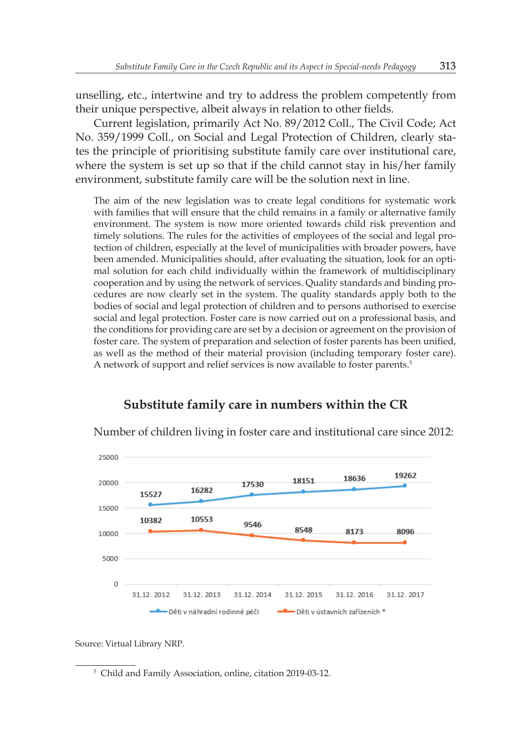unselling, etc., intertwine and try to address the problem competently from their unique perspective, albeit always in relation to other fields.

Current legislation, primarily Act No. 89/2012 Coll., The Civil Code; Act No. 359/1999 Coll., on Social and Legal Protection of Children, clearly states the principle of prioritising substitute family care over institutional care, where the system is set up so that if the child cannot stay in his/her family environment, substitute family care will be the solution next in line.

The aim of the new legislation was to create legal conditions for systematic work with families that will ensure that the child remains in a family or alternative family environment. The system is now more oriented towards child risk prevention and timely solutions. The rules for the activities of employees of the social and legal protection of children, especially at the level of municipalities with broader powers, have been amended. Municipalities should, after evaluating the situation, look for an optimal solution for each child individually within the framework of multidisciplinary cooperation and by using the network of services. Quality standards and binding procedures are now clearly set in the system. The quality standards apply both to the bodies of social and legal protection of children and to persons authorised to exercise social and legal protection. Foster care is now carried out on a professional basis, and the conditions for providing care are set by a decision or agreement on the provision of foster care. The system of preparation and selection of foster parents has been unified, as well as the method of their material provision (including temporary foster care). A network of support and relief services is now available to foster parents.<sup>5</sup>



# **Substitute family care in numbers within the CR**

Number of children living in foster care and institutional care since 2012:

Source: Virtual Library NRP.

<sup>5</sup> Child and Family Association, online, citation 2019-03-12.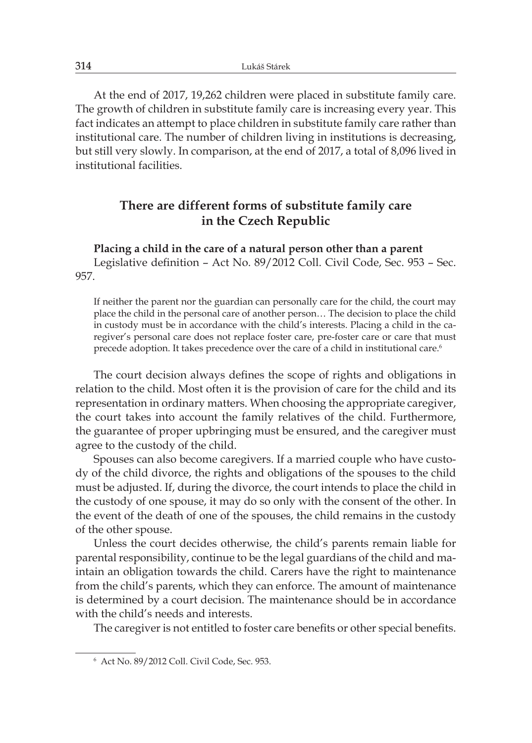At the end of 2017, 19,262 children were placed in substitute family care. The growth of children in substitute family care is increasing every year. This fact indicates an attempt to place children in substitute family care rather than institutional care. The number of children living in institutions is decreasing, but still very slowly. In comparison, at the end of 2017, a total of 8,096 lived in institutional facilities.

# **There are different forms of substitute family care in the Czech Republic**

**Placing a child in the care of a natural person other than a parent**

Legislative definition – Act No. 89/2012 Coll. Civil Code, Sec. 953 – Sec. 957.

If neither the parent nor the guardian can personally care for the child, the court may place the child in the personal care of another person… The decision to place the child in custody must be in accordance with the child's interests. Placing a child in the caregiver's personal care does not replace foster care, pre-foster care or care that must precede adoption. It takes precedence over the care of a child in institutional care.<sup>6</sup>

The court decision always defines the scope of rights and obligations in relation to the child. Most often it is the provision of care for the child and its representation in ordinary matters. When choosing the appropriate caregiver, the court takes into account the family relatives of the child. Furthermore, the guarantee of proper upbringing must be ensured, and the caregiver must agree to the custody of the child.

Spouses can also become caregivers. If a married couple who have custody of the child divorce, the rights and obligations of the spouses to the child must be adjusted. If, during the divorce, the court intends to place the child in the custody of one spouse, it may do so only with the consent of the other. In the event of the death of one of the spouses, the child remains in the custody of the other spouse.

Unless the court decides otherwise, the child's parents remain liable for parental responsibility, continue to be the legal guardians of the child and maintain an obligation towards the child. Carers have the right to maintenance from the child's parents, which they can enforce. The amount of maintenance is determined by a court decision. The maintenance should be in accordance with the child's needs and interests.

The caregiver is not entitled to foster care benefits or other special benefits.

<sup>6</sup> Act No. 89/2012 Coll. Civil Code, Sec. 953.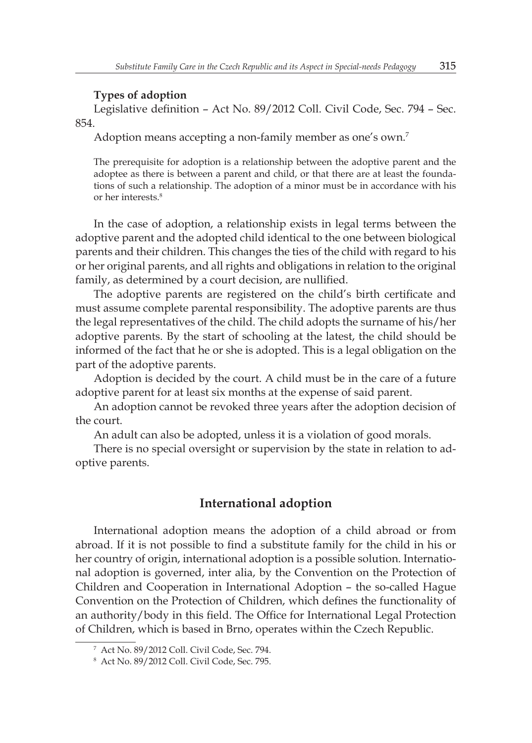### **Types of adoption**

Legislative definition – Act No. 89/2012 Coll. Civil Code, Sec. 794 – Sec. 854.

Adoption means accepting a non-family member as one's own.<sup>7</sup>

The prerequisite for adoption is a relationship between the adoptive parent and the adoptee as there is between a parent and child, or that there are at least the foundations of such a relationship. The adoption of a minor must be in accordance with his or her interests.<sup>8</sup>

In the case of adoption, a relationship exists in legal terms between the adoptive parent and the adopted child identical to the one between biological parents and their children. This changes the ties of the child with regard to his or her original parents, and all rights and obligations in relation to the original family, as determined by a court decision, are nullified.

The adoptive parents are registered on the child's birth certificate and must assume complete parental responsibility. The adoptive parents are thus the legal representatives of the child. The child adopts the surname of his/her adoptive parents. By the start of schooling at the latest, the child should be informed of the fact that he or she is adopted. This is a legal obligation on the part of the adoptive parents.

Adoption is decided by the court. A child must be in the care of a future adoptive parent for at least six months at the expense of said parent.

An adoption cannot be revoked three years after the adoption decision of the court.

An adult can also be adopted, unless it is a violation of good morals.

There is no special oversight or supervision by the state in relation to adoptive parents.

## **International adoption**

International adoption means the adoption of a child abroad or from abroad. If it is not possible to find a substitute family for the child in his or her country of origin, international adoption is a possible solution. International adoption is governed, inter alia, by the Convention on the Protection of Children and Cooperation in International Adoption – the so-called Hague Convention on the Protection of Children, which defines the functionality of an authority/body in this field. The Office for International Legal Protection of Children, which is based in Brno, operates within the Czech Republic.

<sup>7</sup> Act No. 89/2012 Coll. Civil Code, Sec. 794.

<sup>8</sup> Act No. 89/2012 Coll. Civil Code, Sec. 795.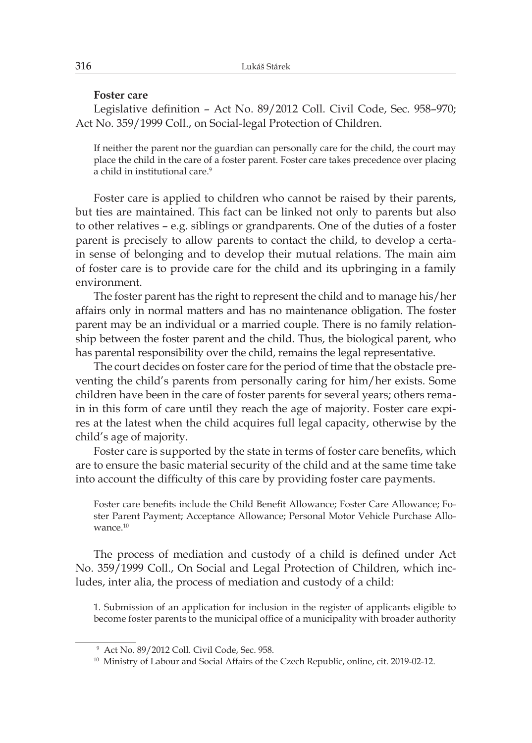#### **Foster care**

Legislative definition – Act No. 89/2012 Coll. Civil Code, Sec. 958–970; Act No. 359/1999 Coll., on Social-legal Protection of Children.

If neither the parent nor the guardian can personally care for the child, the court may place the child in the care of a foster parent. Foster care takes precedence over placing a child in institutional care.<sup>9</sup>

Foster care is applied to children who cannot be raised by their parents, but ties are maintained. This fact can be linked not only to parents but also to other relatives – e.g. siblings or grandparents. One of the duties of a foster parent is precisely to allow parents to contact the child, to develop a certain sense of belonging and to develop their mutual relations. The main aim of foster care is to provide care for the child and its upbringing in a family environment.

The foster parent has the right to represent the child and to manage his/her affairs only in normal matters and has no maintenance obligation. The foster parent may be an individual or a married couple. There is no family relationship between the foster parent and the child. Thus, the biological parent, who has parental responsibility over the child, remains the legal representative.

The court decides on foster care for the period of time that the obstacle preventing the child's parents from personally caring for him/her exists. Some children have been in the care of foster parents for several years; others remain in this form of care until they reach the age of majority. Foster care expires at the latest when the child acquires full legal capacity, otherwise by the child's age of majority.

Foster care is supported by the state in terms of foster care benefits, which are to ensure the basic material security of the child and at the same time take into account the difficulty of this care by providing foster care payments.

Foster care benefits include the Child Benefit Allowance; Foster Care Allowance; Foster Parent Payment; Acceptance Allowance; Personal Motor Vehicle Purchase Allowance.<sup>10</sup>

The process of mediation and custody of a child is defined under Act No. 359/1999 Coll., On Social and Legal Protection of Children, which includes, inter alia, the process of mediation and custody of a child:

1. Submission of an application for inclusion in the register of applicants eligible to become foster parents to the municipal office of a municipality with broader authority

<sup>9</sup> Act No. 89/2012 Coll. Civil Code, Sec. 958.

<sup>&</sup>lt;sup>10</sup> Ministry of Labour and Social Affairs of the Czech Republic, online, cit. 2019-02-12.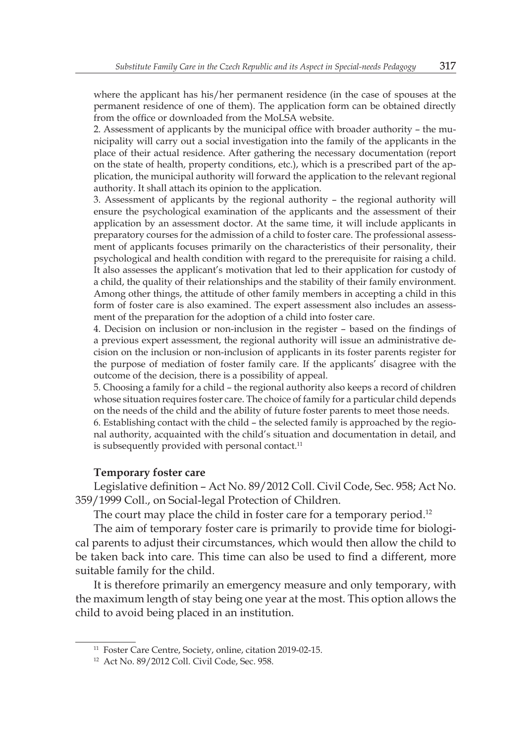where the applicant has his/her permanent residence (in the case of spouses at the permanent residence of one of them). The application form can be obtained directly from the office or downloaded from the MoLSA website.

2. Assessment of applicants by the municipal office with broader authority – the municipality will carry out a social investigation into the family of the applicants in the place of their actual residence. After gathering the necessary documentation (report on the state of health, property conditions, etc.), which is a prescribed part of the application, the municipal authority will forward the application to the relevant regional authority. It shall attach its opinion to the application.

3. Assessment of applicants by the regional authority – the regional authority will ensure the psychological examination of the applicants and the assessment of their application by an assessment doctor. At the same time, it will include applicants in preparatory courses for the admission of a child to foster care. The professional assessment of applicants focuses primarily on the characteristics of their personality, their psychological and health condition with regard to the prerequisite for raising a child. It also assesses the applicant's motivation that led to their application for custody of a child, the quality of their relationships and the stability of their family environment. Among other things, the attitude of other family members in accepting a child in this form of foster care is also examined. The expert assessment also includes an assessment of the preparation for the adoption of a child into foster care.

4. Decision on inclusion or non-inclusion in the register – based on the findings of a previous expert assessment, the regional authority will issue an administrative decision on the inclusion or non-inclusion of applicants in its foster parents register for the purpose of mediation of foster family care. If the applicants' disagree with the outcome of the decision, there is a possibility of appeal.

5. Choosing a family for a child – the regional authority also keeps a record of children whose situation requires foster care. The choice of family for a particular child depends on the needs of the child and the ability of future foster parents to meet those needs.

6. Establishing contact with the child – the selected family is approached by the regional authority, acquainted with the child's situation and documentation in detail, and is subsequently provided with personal contact.<sup>11</sup>

### **Temporary foster care**

Legislative definition – Act No. 89/2012 Coll. Civil Code, Sec. 958; Act No. 359/1999 Coll., on Social-legal Protection of Children.

The court may place the child in foster care for a temporary period.<sup>12</sup>

The aim of temporary foster care is primarily to provide time for biological parents to adjust their circumstances, which would then allow the child to be taken back into care. This time can also be used to find a different, more suitable family for the child.

It is therefore primarily an emergency measure and only temporary, with the maximum length of stay being one year at the most. This option allows the child to avoid being placed in an institution.

<sup>&</sup>lt;sup>11</sup> Foster Care Centre, Society, online, citation 2019-02-15.

<sup>12</sup> Act No. 89/2012 Coll. Civil Code, Sec. 958.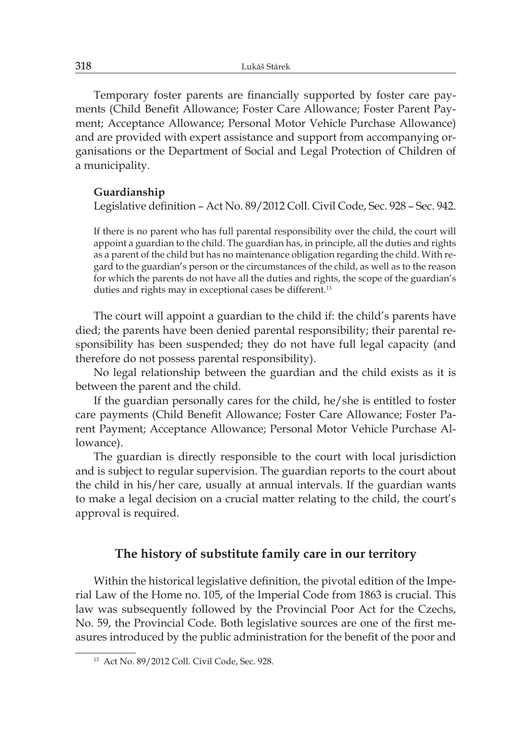Temporary foster parents are financially supported by foster care payments (Child Benefit Allowance; Foster Care Allowance; Foster Parent Payment; Acceptance Allowance; Personal Motor Vehicle Purchase Allowance) and are provided with expert assistance and support from accompanying organisations or the Department of Social and Legal Protection of Children of a municipality.

### **Guardianship**

Legislative definition – Act No. 89/2012 Coll. Civil Code, Sec. 928 – Sec. 942.

If there is no parent who has full parental responsibility over the child, the court will appoint a guardian to the child. The guardian has, in principle, all the duties and rights as a parent of the child but has no maintenance obligation regarding the child. With regard to the guardian's person or the circumstances of the child, as well as to the reason for which the parents do not have all the duties and rights, the scope of the guardian's duties and rights may in exceptional cases be different.<sup>13</sup>

The court will appoint a guardian to the child if: the child's parents have died; the parents have been denied parental responsibility; their parental responsibility has been suspended; they do not have full legal capacity (and therefore do not possess parental responsibility).

No legal relationship between the guardian and the child exists as it is between the parent and the child.

If the guardian personally cares for the child, he/she is entitled to foster care payments (Child Benefit Allowance; Foster Care Allowance; Foster Parent Payment; Acceptance Allowance; Personal Motor Vehicle Purchase Allowance).

The guardian is directly responsible to the court with local jurisdiction and is subject to regular supervision. The guardian reports to the court about the child in his/her care, usually at annual intervals. If the guardian wants to make a legal decision on a crucial matter relating to the child, the court's approval is required.

## **The history of substitute family care in our territory**

Within the historical legislative definition, the pivotal edition of the Imperial Law of the Home no. 105, of the Imperial Code from 1863 is crucial. This law was subsequently followed by the Provincial Poor Act for the Czechs, No. 59, the Provincial Code. Both legislative sources are one of the first measures introduced by the public administration for the benefit of the poor and

<sup>13</sup> Act No. 89/2012 Coll. Civil Code, Sec. 928.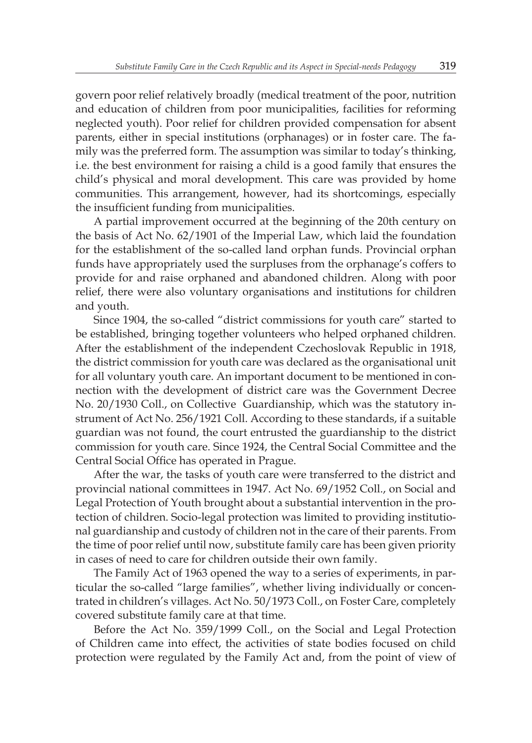govern poor relief relatively broadly (medical treatment of the poor, nutrition and education of children from poor municipalities, facilities for reforming neglected youth). Poor relief for children provided compensation for absent parents, either in special institutions (orphanages) or in foster care. The family was the preferred form. The assumption was similar to today's thinking, i.e. the best environment for raising a child is a good family that ensures the child's physical and moral development. This care was provided by home communities. This arrangement, however, had its shortcomings, especially the insufficient funding from municipalities.

A partial improvement occurred at the beginning of the 20th century on the basis of Act No. 62/1901 of the Imperial Law, which laid the foundation for the establishment of the so-called land orphan funds. Provincial orphan funds have appropriately used the surpluses from the orphanage's coffers to provide for and raise orphaned and abandoned children. Along with poor relief, there were also voluntary organisations and institutions for children and youth.

Since 1904, the so-called "district commissions for youth care" started to be established, bringing together volunteers who helped orphaned children. After the establishment of the independent Czechoslovak Republic in 1918, the district commission for youth care was declared as the organisational unit for all voluntary youth care. An important document to be mentioned in connection with the development of district care was the Government Decree No. 20/1930 Coll., on Collective Guardianship, which was the statutory instrument of Act No. 256/1921 Coll. According to these standards, if a suitable guardian was not found, the court entrusted the guardianship to the district commission for youth care. Since 1924, the Central Social Committee and the Central Social Office has operated in Prague.

After the war, the tasks of youth care were transferred to the district and provincial national committees in 1947. Act No. 69/1952 Coll., on Social and Legal Protection of Youth brought about a substantial intervention in the protection of children. Socio-legal protection was limited to providing institutional guardianship and custody of children not in the care of their parents. From the time of poor relief until now, substitute family care has been given priority in cases of need to care for children outside their own family.

The Family Act of 1963 opened the way to a series of experiments, in particular the so-called "large families", whether living individually or concentrated in children's villages. Act No. 50/1973 Coll., on Foster Care, completely covered substitute family care at that time.

Before the Act No. 359/1999 Coll., on the Social and Legal Protection of Children came into effect, the activities of state bodies focused on child protection were regulated by the Family Act and, from the point of view of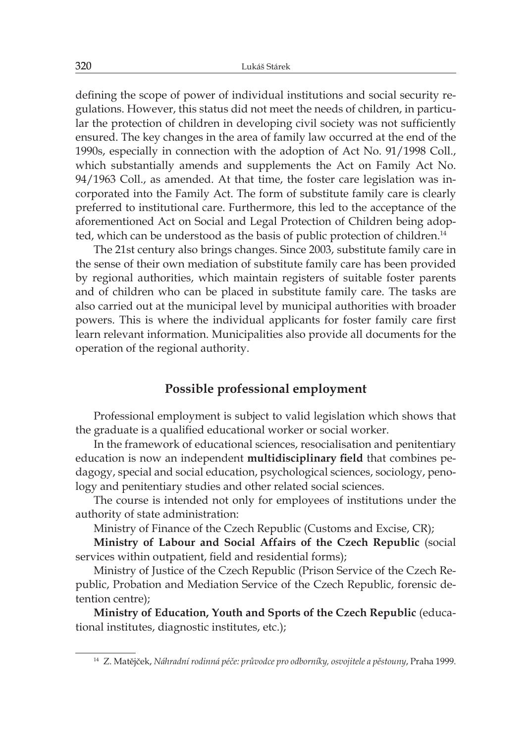defining the scope of power of individual institutions and social security regulations. However, this status did not meet the needs of children, in particular the protection of children in developing civil society was not sufficiently ensured. The key changes in the area of family law occurred at the end of the 1990s, especially in connection with the adoption of Act No. 91/1998 Coll., which substantially amends and supplements the Act on Family Act No. 94/1963 Coll., as amended. At that time, the foster care legislation was incorporated into the Family Act. The form of substitute family care is clearly preferred to institutional care. Furthermore, this led to the acceptance of the aforementioned Act on Social and Legal Protection of Children being adopted, which can be understood as the basis of public protection of children.<sup>14</sup>

The 21st century also brings changes. Since 2003, substitute family care in the sense of their own mediation of substitute family care has been provided by regional authorities, which maintain registers of suitable foster parents and of children who can be placed in substitute family care. The tasks are also carried out at the municipal level by municipal authorities with broader powers. This is where the individual applicants for foster family care first learn relevant information. Municipalities also provide all documents for the operation of the regional authority.

### **Possible professional employment**

Professional employment is subject to valid legislation which shows that the graduate is a qualified educational worker or social worker.

In the framework of educational sciences, resocialisation and penitentiary education is now an independent **multidisciplinary field** that combines pedagogy, special and social education, psychological sciences, sociology, penology and penitentiary studies and other related social sciences.

The course is intended not only for employees of institutions under the authority of state administration:

Ministry of Finance of the Czech Republic (Customs and Excise, CR);

**Ministry of Labour and Social Affairs of the Czech Republic** (social services within outpatient, field and residential forms);

Ministry of Justice of the Czech Republic (Prison Service of the Czech Republic, Probation and Mediation Service of the Czech Republic, forensic detention centre);

**Ministry of Education, Youth and Sports of the Czech Republic** (educational institutes, diagnostic institutes, etc.);

<sup>14</sup> Z. Matějček, *Náhradní rodinná péče: průvodce pro odborníky, osvojitele a pěstouny*, Praha 1999.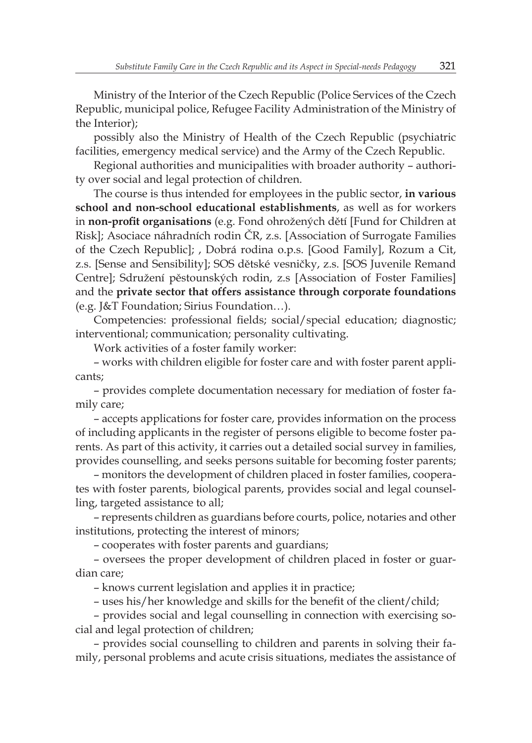Ministry of the Interior of the Czech Republic (Police Services of the Czech Republic, municipal police, Refugee Facility Administration of the Ministry of the Interior);

possibly also the Ministry of Health of the Czech Republic (psychiatric facilities, emergency medical service) and the Army of the Czech Republic.

Regional authorities and municipalities with broader authority – authority over social and legal protection of children.

The course is thus intended for employees in the public sector, **in various school and non-school educational establishments**, as well as for workers in **non-profit organisations** (e.g. Fond ohrožených dětí [Fund for Children at Risk]; Asociace náhradních rodin ČR, z.s. [Association of Surrogate Families of the Czech Republic]; , Dobrá rodina o.p.s. [Good Family], Rozum a Cit, z.s. [Sense and Sensibility]; SOS dětské vesničky, z.s. [SOS Juvenile Remand Centre]; Sdružení pěstounských rodin, z.s [Association of Foster Families] and the **private sector that offers assistance through corporate foundations** (e.g. J&T Foundation; Sirius Foundation…).

Competencies: professional fields; social/special education; diagnostic; interventional; communication; personality cultivating.

Work activities of a foster family worker:

– works with children eligible for foster care and with foster parent applicants;

– provides complete documentation necessary for mediation of foster family care;

– accepts applications for foster care, provides information on the process of including applicants in the register of persons eligible to become foster parents. As part of this activity, it carries out a detailed social survey in families, provides counselling, and seeks persons suitable for becoming foster parents;

– monitors the development of children placed in foster families, cooperates with foster parents, biological parents, provides social and legal counselling, targeted assistance to all;

– represents children as guardians before courts, police, notaries and other institutions, protecting the interest of minors;

– cooperates with foster parents and guardians;

– oversees the proper development of children placed in foster or guardian care;

– knows current legislation and applies it in practice;

– uses his/her knowledge and skills for the benefit of the client/child;

– provides social and legal counselling in connection with exercising social and legal protection of children;

– provides social counselling to children and parents in solving their family, personal problems and acute crisis situations, mediates the assistance of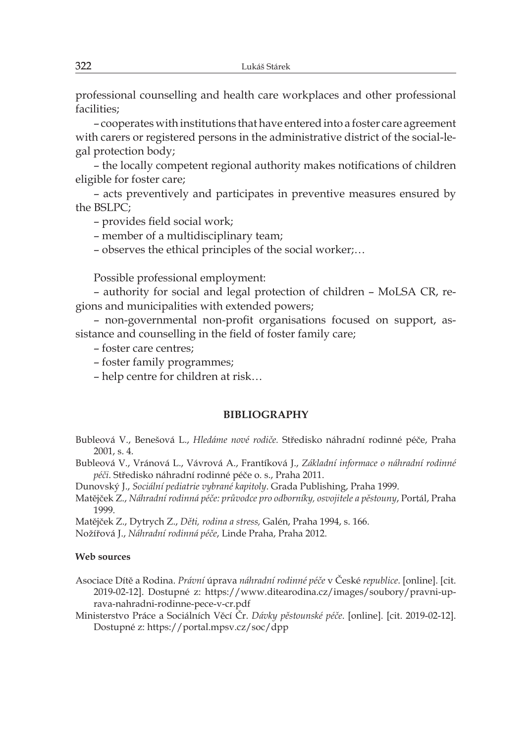professional counselling and health care workplaces and other professional facilities;

– cooperates with institutions that have entered into a foster care agreement with carers or registered persons in the administrative district of the social-legal protection body;

– the locally competent regional authority makes notifications of children eligible for foster care;

– acts preventively and participates in preventive measures ensured by the BSLPC;

– provides field social work;

– member of a multidisciplinary team;

– observes the ethical principles of the social worker;…

Possible professional employment:

– authority for social and legal protection of children – MoLSA CR, regions and municipalities with extended powers;

– non-governmental non-profit organisations focused on support, assistance and counselling in the field of foster family care;

– foster care centres;

- foster family programmes;
- help centre for children at risk…

#### **BIBLIOGRAPHY**

Bubleová V., Benešová L., *Hledáme nové rodiče.* Středisko náhradní rodinné péče, Praha 2001, s. 4.

Bubleová V., Vránová L., Vávrová A., Frantíková J., *Základní informace o náhradní rodinné péči*. Středisko náhradní rodinné péče o. s., Praha 2011.

Dunovský J., *Sociální pediatrie vybrané kapitoly*. Grada Publishing, Praha 1999.

Matějček Z., *Náhradní rodinná péče: průvodce pro odborníky, osvojitele a pěstouny*, Portál, Praha 1999.

Matějček Z., Dytrych Z., *Děti, rodina a stress,* Galén, Praha 1994, s. 166.

Nožířová J., *Náhradní rodinná péče*, Linde Praha, Praha 2012.

#### **Web sources**

Asociace Dítě a Rodina. *Právní* úprava *náhradní rodinné péče* v České *republice*. [online]. [cit. 2019-02-12]. Dostupné z: https://www.ditearodina.cz/images/soubory/pravni-uprava-nahradni-rodinne-pece-v-cr.pdf

Ministerstvo Práce a Sociálních Věcí Čr. *Dávky pěstounské péče*. [online]. [cit. 2019-02-12]. Dostupné z: https://portal.mpsv.cz/soc/dpp